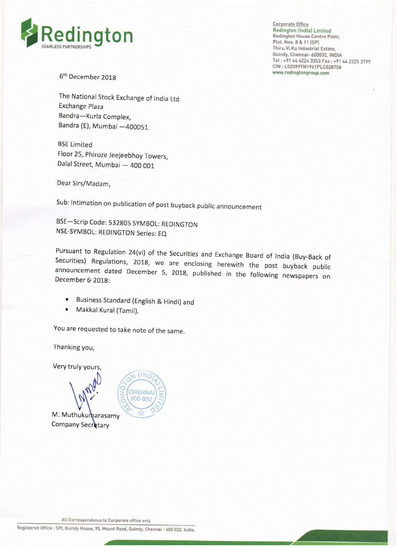

Corporate Office Redington (India) Limited<br>Redington House Centre Point, Thiru.Vi.Ka Industrial Estate, Guindy, Chennai— 600032. lNDIA Tel: +91 44 4224 3353 Fax: +91 44 2225 3799 CIN: L52599TN1961PLC028758<br>www.redingtongroup.com

> \_ \_

6<sup>th</sup> December 2018

The National Stock Exchange of india Ltd Exchange Plaza Bandra—Kurla Complex, Bandra (E), Mumbai —400051.

BSE Limited Floor 25, Phiroze Jeejeebhoy Towers, Dalal Street, Mumbai — 400 001

Dear Sirs/Madam,

Sub: lntimation on publication of post buyback public announcement

BSE—Scrip Code: 532805 SYMBOL: REDlNGTON NSE—SYMBOL: REDINGTON Series: EQ

Pursuant to Regulation 24(vi) of the Securities and Exchange Board of India (Buy-Back of Securities) Regulations, 2018, we are enclosing herewith the post buyback public announcement dated December 5, 2018, published in th

• Business Standard (English & Hindi) and<br>• Makkal Kural (Tamil)

 $(N)$ 

Makkal Kural (Tamil).

You are requested to take note of the same.

Thanking you,

Very truly yours,



All Correspondence to Corporate aflice only